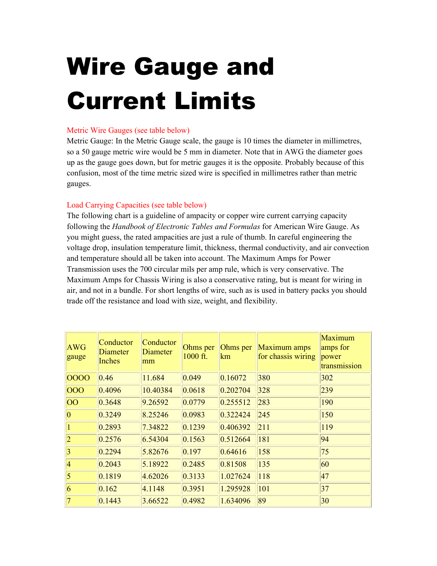## Wire Gauge and Current Limits

## Metric Wire Gauges (see table below)

Metric Gauge: In the Metric Gauge scale, the gauge is 10 times the diameter in millimetres, so a 50 gauge metric wire would be 5 mm in diameter. Note that in AWG the diameter goes up as the gauge goes down, but for metric gauges it is the opposite. Probably because of this confusion, most of the time metric sized wire is specified in millimetres rather than metric gauges.

## Load Carrying Capacities (see table below)

The following chart is a guideline of ampacity or copper wire current carrying capacity following the *Handbook of Electronic Tables and Formulas* for American Wire Gauge. As you might guess, the rated ampacities are just a rule of thumb. In careful engineering the voltage drop, insulation temperature limit, thickness, thermal conductivity, and air convection and temperature should all be taken into account. The Maximum Amps for Power Transmission uses the 700 circular mils per amp rule, which is very conservative. The Maximum Amps for Chassis Wiring is also a conservative rating, but is meant for wiring in air, and not in a bundle. For short lengths of wire, such as is used in battery packs you should trade off the resistance and load with size, weight, and flexibility.

| <b>AWG</b><br>gauge | Conductor<br>Diameter<br>Inches | Conductor<br>Diameter<br>mm | Ohms per<br>1000 ft. | Ohms per<br>km | Maximum amps<br>for chassis wiring | Maximum<br>amps for<br>power<br>transmission |
|---------------------|---------------------------------|-----------------------------|----------------------|----------------|------------------------------------|----------------------------------------------|
| 0000                | 0.46                            | 11.684                      | 0.049                | 0.16072        | 380                                | 302                                          |
| 000                 | 0.4096                          | 10.40384                    | 0.0618               | 0.202704       | 328                                | 239                                          |
| <b>OO</b>           | 0.3648                          | 9.26592                     | 0.0779               | 0.255512       | 283                                | 190                                          |
| $\vert 0 \vert$     | 0.3249                          | 8.25246                     | 0.0983               | 0.322424       | 245                                | 150                                          |
|                     | 0.2893                          | 7.34822                     | 0.1239               | 0.406392       | 211                                | 119                                          |
| $\overline{2}$      | 0.2576                          | 6.54304                     | 0.1563               | 0.512664       | 181                                | 94                                           |
| $\vert 3 \vert$     | 0.2294                          | 5.82676                     | 0.197                | 0.64616        | 158                                | 75                                           |
| $\vert 4$           | 0.2043                          | 5.18922                     | 0.2485               | 0.81508        | 135                                | 60                                           |
| 5                   | 0.1819                          | 4.62026                     | 0.3133               | 1.027624       | <sup>118</sup>                     | 47                                           |
| 6                   | 0.162                           | 4.1148                      | 0.3951               | 1.295928       | 101                                | 37                                           |
|                     | 0.1443                          | 3.66522                     | 0.4982               | 1.634096       | 89                                 | 30                                           |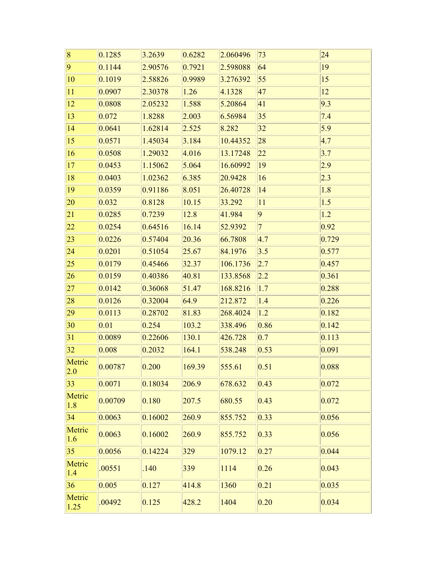| $\vert 8 \vert$ | 0.1285  | 3.2639  | 0.6282 | 2.060496 | 73                | 24    |
|-----------------|---------|---------|--------|----------|-------------------|-------|
| $\overline{9}$  | 0.1144  | 2.90576 | 0.7921 | 2.598088 | 64                | 19    |
| 10              | 0.1019  | 2.58826 | 0.9989 | 3.276392 | 55                | 15    |
| 11              | 0.0907  | 2.30378 | 1.26   | 4.1328   | 47                | 12    |
| $ 12\rangle$    | 0.0808  | 2.05232 | 1.588  | 5.20864  | 41                | 9.3   |
| 13              | 0.072   | 1.8288  | 2.003  | 6.56984  | 35                | 7.4   |
| 14              | 0.0641  | 1.62814 | 2.525  | 8.282    | 32                | 5.9   |
| 15              | 0.0571  | 1.45034 | 3.184  | 10.44352 | 28                | 4.7   |
| 16              | 0.0508  | 1.29032 | 4.016  | 13.17248 | 22                | 3.7   |
| 17              | 0.0453  | 1.15062 | 5.064  | 16.60992 | 19                | 2.9   |
| 18              | 0.0403  | 1.02362 | 6.385  | 20.9428  | 16                | 2.3   |
| 19              | 0.0359  | 0.91186 | 8.051  | 26.40728 | 14                | 1.8   |
| 20              | 0.032   | 0.8128  | 10.15  | 33.292   | 11                | 1.5   |
| 21              | 0.0285  | 0.7239  | 12.8   | 41.984   | $ 9\rangle$       | 1.2   |
| 22              | 0.0254  | 0.64516 | 16.14  | 52.9392  | $\overline{7}$    | 0.92  |
| 23              | 0.0226  | 0.57404 | 20.36  | 66.7808  | $\vert 4.7 \vert$ | 0.729 |
| 24              | 0.0201  | 0.51054 | 25.67  | 84.1976  | 3.5               | 0.577 |
| 25              | 0.0179  | 0.45466 | 32.37  | 106.1736 | 2.7               | 0.457 |
| 26              | 0.0159  | 0.40386 | 40.81  | 133.8568 | 2.2               | 0.361 |
| 27              | 0.0142  | 0.36068 | 51.47  | 168.8216 | 1.7               | 0.288 |
| 28              | 0.0126  | 0.32004 | 64.9   | 212.872  | 1.4               | 0.226 |
| 29              | 0.0113  | 0.28702 | 81.83  | 268.4024 | 1.2               | 0.182 |
| 30              | 0.01    | 0.254   | 103.2  | 338.496  | 0.86              | 0.142 |
| 31              | 0.0089  | 0.22606 | 130.1  | 426.728  | 0.7               | 0.113 |
| 32              | 0.008   | 0.2032  | 164.1  | 538.248  | 0.53              | 0.091 |
| Metric<br>2.0   | 0.00787 | 0.200   | 169.39 | 555.61   | 0.51              | 0.088 |
| 33              | 0.0071  | 0.18034 | 206.9  | 678.632  | 0.43              | 0.072 |
| Metric<br>1.8   | 0.00709 | 0.180   | 207.5  | 680.55   | 0.43              | 0.072 |
| 34              | 0.0063  | 0.16002 | 260.9  | 855.752  | 0.33              | 0.056 |
| Metric<br>1.6   | 0.0063  | 0.16002 | 260.9  | 855.752  | 0.33              | 0.056 |
| 35              | 0.0056  | 0.14224 | 329    | 1079.12  | 0.27              | 0.044 |
| Metric<br>1.4   | .00551  | .140    | 339    | 1114     | 0.26              | 0.043 |
| 36              | 0.005   | 0.127   | 414.8  | 1360     | 0.21              | 0.035 |
| Metric<br>1.25  | .00492  | 0.125   | 428.2  | 1404     | 0.20              | 0.034 |